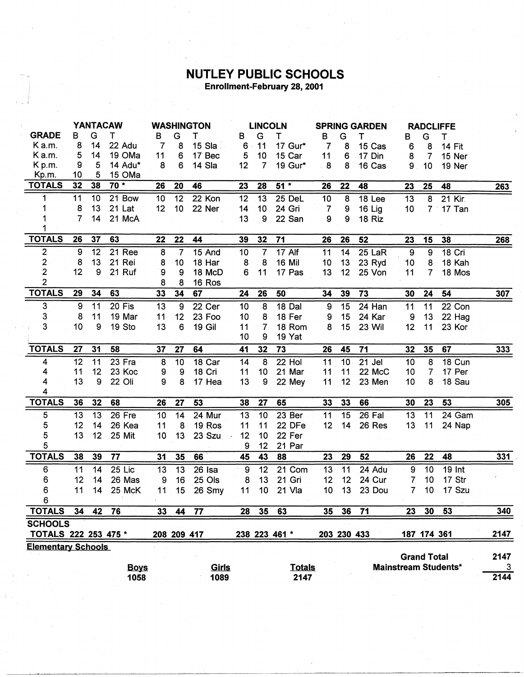## **NUTLEY PUBLIC SCHOOLS**<br>Enrollment-February 28, 2001

|                           | <b>YANTACAW</b> |    |             | <b>WASHINGTON</b> |                 |               | <b>LINCOLN</b>   |                 |               | <b>SPRING GARDEN</b> |                 |          | <b>RADCLIFFE</b>   |                |                             |      |
|---------------------------|-----------------|----|-------------|-------------------|-----------------|---------------|------------------|-----------------|---------------|----------------------|-----------------|----------|--------------------|----------------|-----------------------------|------|
| <b>GRADE</b>              | В               | G  | т           | в                 | G               | т             | в                | G               | т             | в                    | G               | т        | В                  | G              | т                           |      |
| K a.m.                    | 8               | 14 | 22 Adu      | $\overline{7}$    | 8               | 15 Sla 3      | $6 -$            | 11              | 17 Gur*       | $\overline{7}$       | 8               | 15 Cas   | 6                  | 8              | <b>14 Fit</b>               |      |
| K a.m.                    | 5               | 14 | 19 OMa      | 11                | 6               | 17 Bec        | 5                | 10              | 15 Car        | 11                   | $6\phantom{1}6$ | 17 Din   | 8                  | $\overline{7}$ | 15 Ner                      |      |
| K <sub>p.m.</sub>         | 9               | 5  | 14 Adu*     | 8                 | 6               | 14 Sla        | 12               | $\overline{7}$  | 19 Gur*       | 8                    | 8               | 16 Cas   | 9                  | 10             | 19 Ner                      |      |
| Kp.m.                     | 10              | 5  | 15 OMa      |                   |                 |               |                  |                 |               |                      |                 |          |                    |                |                             |      |
| <b>TOTALS</b>             | 32              | 38 | $70*$       | 26                | 20              | 46            | 23               | 28              | $51*$         | 26                   | 22              | 48       | 23                 | 25             | 48                          | 263  |
| 1                         | 11              | 10 | 21 Bow      | 10                | $\overline{12}$ | 22 Kon        | 12               | $\overline{13}$ | 25 DeL        | 10                   | 8               | 18 Lee   | 13                 | $\overline{8}$ | 21 Kir.                     |      |
| 1                         | 8               | 13 | 21 Lat      | 12                | 10              | 22 Ner        | 14               | 10              | 24 Gri        | 7                    | 9               | 16 Lig   | 10                 |                | 7 17 Tan                    |      |
|                           | 7               | 14 | 21 McA      |                   |                 |               | 13               | 9               | 22 San        | 9                    | 9               | 18 Riz   |                    |                |                             |      |
| 1                         |                 |    |             |                   |                 |               |                  |                 |               |                      |                 |          |                    |                |                             |      |
| <b>TOTALS</b>             | 26              | 37 | 63          | 22                | 22              | 44            | 39               | 32              | 71            | 26                   | 26              | 52       | 23                 | 15             | 38                          | 268  |
| $\mathbf{2}$              | 9               | 12 | 21 Ree      | 8                 | $\overline{7}$  | 15 And        | 10               | $\overline{7}$  | 17 Alf        | 11                   | 14              | 25 LaR   | $\boldsymbol{9}$   | 9              | 18 Cri                      |      |
| $\mathbf{2}$              | 8               | 13 | 21 Rei      | 8                 | 10              | 18 Har        | 8                | 8               | <b>16 Mil</b> | 10                   | 13              | 23 Ryd   | 10                 | 8              | 18 Kah                      |      |
| $\overline{2}$            | 12              | 9  | 21 Ruf      | 9                 | 9               | 18 McD        | 6                | 11              | 17 Pas        | 13                   | 12              | 25 Von   | 11                 | 7              | 18 Mos                      |      |
| $\overline{2}$            |                 |    |             | 8                 | 8               | 16 Ros        |                  |                 |               |                      |                 |          |                    |                |                             |      |
| <b>TOTALS</b>             | 29              | 34 | 63          | 33                | 34              | 67            | 24               | 26              | 50            | 34                   | 39              | 73       | 30                 | 24             | 54                          | 307  |
| 3                         | 9               | 11 | $20$ Fis    | 13                | 9               | 22 Cer        | 10               | $\overline{8}$  | 18 Dal        | 9                    | 15              | $24$ Han | 11                 | 11             | 22 Con                      |      |
| $\overline{3}$            | 8               | 11 | 19 Mar      | 11                | 12              | 23 Foo        | 10               | 8               | 18 Fer        | 9                    | 15              | 24 Kar   | 9                  | 13             | 22 Hag                      |      |
| 3                         | 10              | 9  | 19 Sto      | 13                | 6               | <b>19 Gil</b> | 11               | $\overline{7}$  | 18 Rom        | 8                    | 15              | 23 Wil   | 12                 | 11             | 23 Kor                      |      |
|                           |                 |    |             |                   |                 |               | 10               | 9               | 19 Yat        |                      |                 |          |                    |                |                             |      |
| <b>TOTALS</b>             | 27              | 31 | 58          | 37                | 27              | 64            | 41               | 32              | 73            | 26                   | 45              | 71       | 32                 | 35             | 67                          | 333  |
| 4                         | $\overline{12}$ | 11 | 23 Fra      | 8                 | 10              | $18$ Car      | 14               | $\overline{8}$  | $22$ Hol      | 11                   | 10              | $21$ Jel | 10                 | $\overline{8}$ | 18 Cun                      |      |
| 4                         | 11              | 12 | 23 Koc      | 9                 | 9               | 18 Cri        | 11               | 10              | 21 Mar        | 11                   | 11              | 22 McC   | 10                 | $\overline{7}$ | 17 Per                      |      |
| 4                         | 13              | 9  | 22 Oli      | 9                 | 8               | 17 Hea        | 13               | 9               | 22 Mey        | 11                   | 12              | 23 Men   | 10                 | 8              | 18 Sau                      |      |
| 4                         |                 |    |             |                   |                 |               |                  |                 |               |                      |                 |          |                    |                |                             |      |
| <b>TOTALS</b>             | 36              | 32 | 68          | 26                | 27              | 53            | 38               | 27              | 65            | 33                   | 33              | 66       | 30                 | 23             | 53                          | 305  |
| 5                         | 13              | 13 | 26 Fre      | 10                | 14              | 24 Mur        | 13               | 10              | 23 Ber        | 11                   | 15              | 26 Fal   | 13                 | 11             | 24 Gam                      |      |
| 5                         | 12              | 14 | 26 Kea      | 11                | 8               | 19 Ros        | 11               | 11              | 22 DFe        | 12                   | 14              | 26 Res   | 13                 | 11             | 24 Nap                      |      |
| 5                         | 13              | 12 | 25 Mit      | 10                | 13              | 23 Szu        | 12               | 10              | 22 Fer        |                      |                 |          |                    |                |                             |      |
| 5                         |                 |    |             |                   |                 |               | 9                | 12              | 21 Par        |                      |                 |          |                    |                |                             |      |
| <b>TOTALS</b>             | 38              | 39 | 77          | 31                | 35              | 66            | 45               | 43              | 88            | 23                   | 29              | 52       | 26                 | 22             | 48                          | 331  |
| $6\overline{6}$           | 11              | 14 | $25$ Lic    | 13                | $\overline{13}$ | $26$ Isa      | $\boldsymbol{9}$ | 12              | 21 Com        | 13                   | 11              | 24 Adu   | 9                  | 10             | $19$ Int                    |      |
| 6                         | 12              | 14 | 26 Mas      | 9                 | 16              | 25 Ols        | 8                | 13              | 21 Gri        | 12                   | 12              | 24 Cur   | 7                  | 10             | 17 Str                      |      |
| 6                         | 11              | 14 | 25 McK      | 11                | 15              | 26 Smy        | 11               | 10 <sup>1</sup> | 21 Vla        | 10                   | 13              | 23 Dou   | 7                  | 10             | 17 Szu                      |      |
| 6                         |                 |    |             |                   |                 |               |                  |                 |               |                      |                 |          |                    |                |                             |      |
| <b>TOTALS</b>             | 34              | 42 | 76          | 33                | 44              | 77            | 28               | 35              | 63            | 35                   | 36              | 71       | 23                 | 30             | 53                          | 340  |
| <b>SCHOOLS</b>            |                 |    |             |                   |                 |               |                  |                 |               |                      |                 |          |                    |                |                             |      |
| TOTALS 222 253 475 *      |                 |    |             |                   | 208 209 417     |               |                  |                 | 238 223 461 * |                      | 203 230 433     |          |                    | 187 174 361    |                             | 2147 |
| <b>Elementary Schools</b> |                 |    |             |                   |                 |               |                  |                 |               |                      |                 |          |                    |                |                             |      |
|                           |                 |    |             |                   |                 |               |                  |                 |               |                      |                 |          | <b>Grand Total</b> |                |                             | 2147 |
|                           |                 |    | <b>Boys</b> |                   |                 | Girls         |                  |                 | <b>Totals</b> |                      |                 |          |                    |                | <b>Mainstream Students*</b> | 3    |
|                           |                 |    | 1058        |                   |                 | 1089          |                  |                 | 2147          |                      |                 |          |                    |                |                             | 2144 |